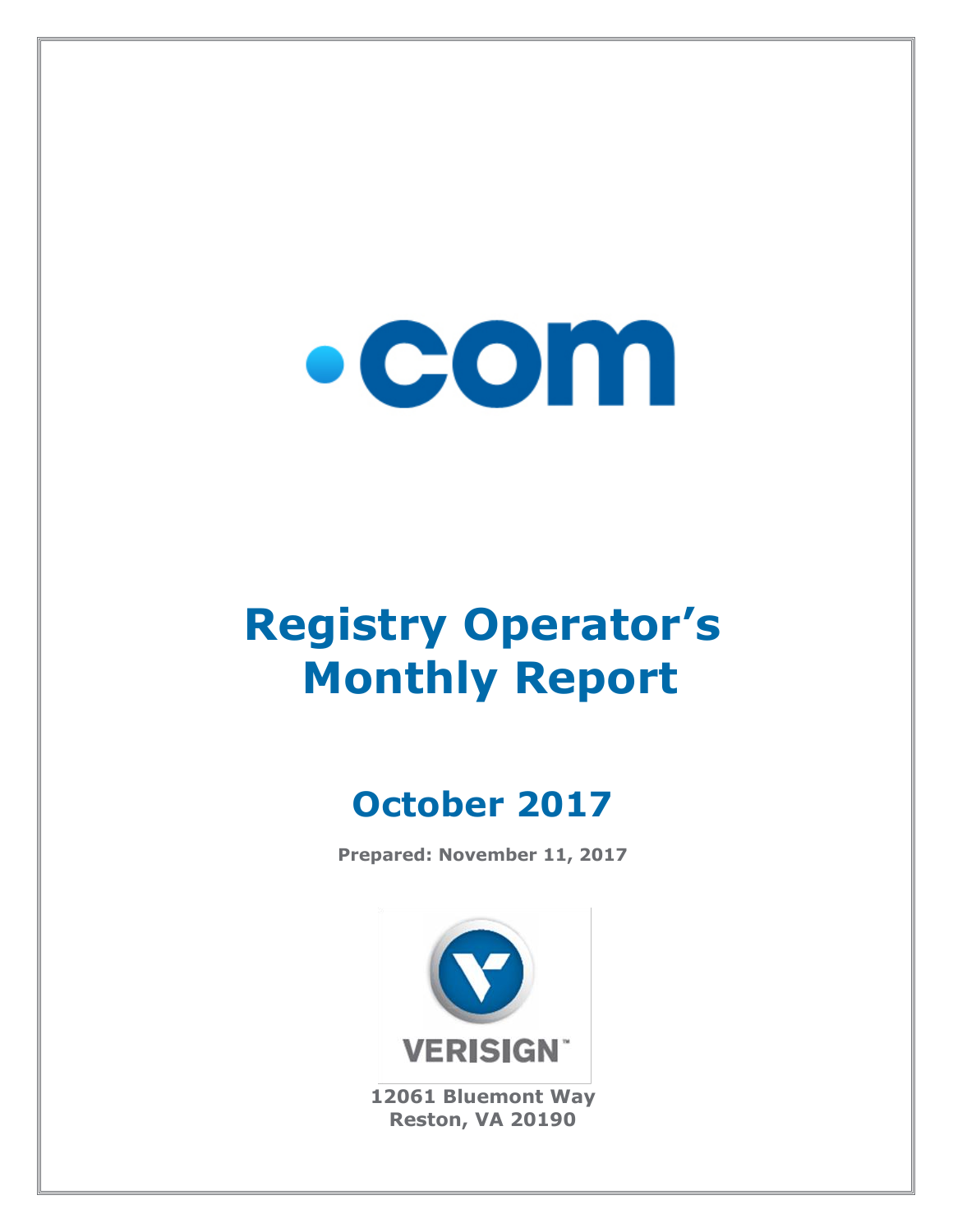

# **Registry Operator's Monthly Report**

# **October 2017**

**Prepared: November 11, 2017**



**12061 Bluemont Way Reston, VA 20190**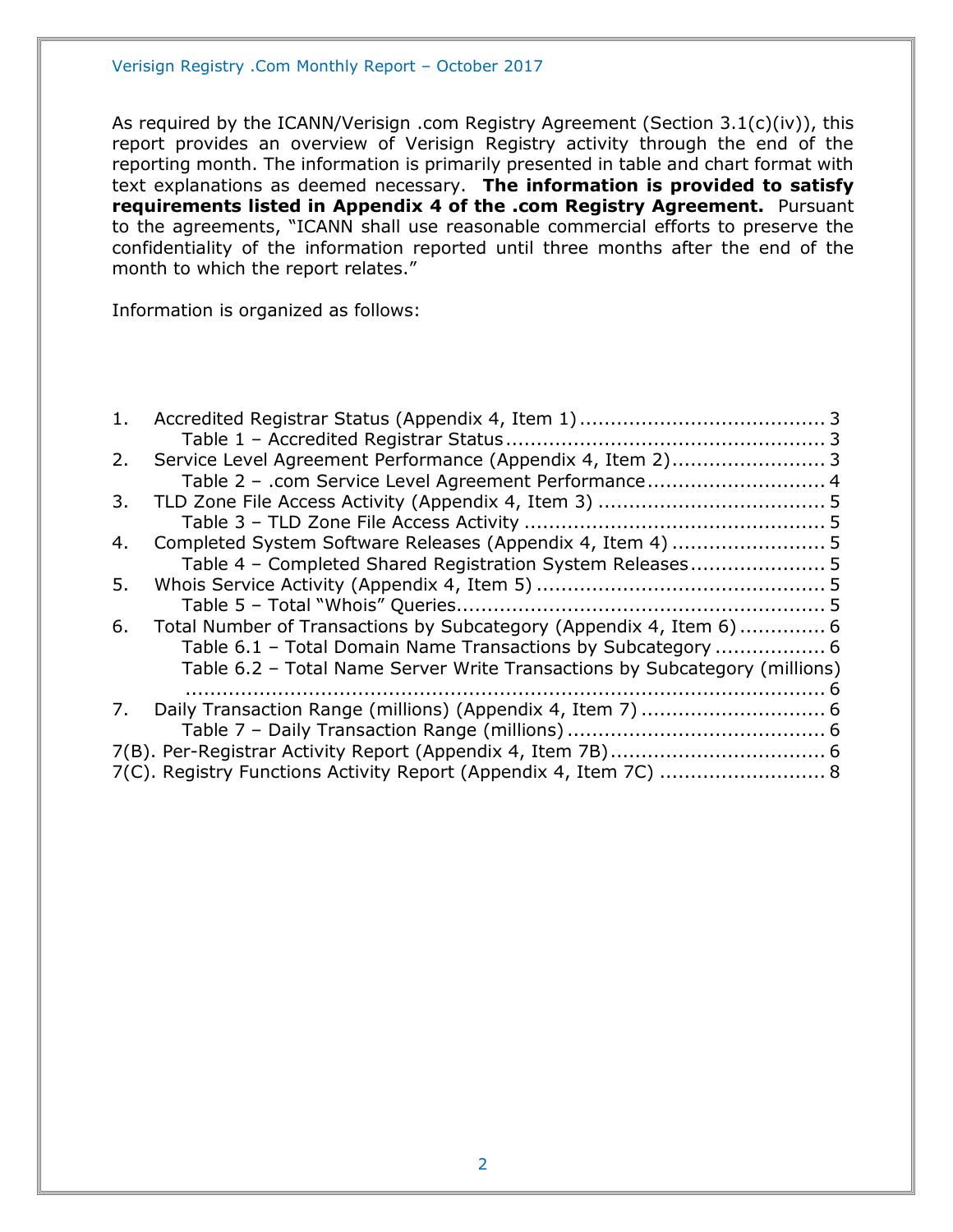As required by the ICANN/Verisign .com Registry Agreement (Section 3.1(c)(iv)), this report provides an overview of Verisign Registry activity through the end of the reporting month. The information is primarily presented in table and chart format with text explanations as deemed necessary. **The information is provided to satisfy requirements listed in Appendix 4 of the .com Registry Agreement.** Pursuant to the agreements, "ICANN shall use reasonable commercial efforts to preserve the confidentiality of the information reported until three months after the end of the month to which the report relates."

Information is organized as follows:

| 1. |                                                                            |  |
|----|----------------------------------------------------------------------------|--|
|    |                                                                            |  |
| 2. | Service Level Agreement Performance (Appendix 4, Item 2) 3                 |  |
|    | Table 2 - .com Service Level Agreement Performance 4                       |  |
| 3. |                                                                            |  |
|    |                                                                            |  |
| 4. |                                                                            |  |
|    | Table 4 - Completed Shared Registration System Releases 5                  |  |
| 5. |                                                                            |  |
|    |                                                                            |  |
| 6. | Total Number of Transactions by Subcategory (Appendix 4, Item 6)  6        |  |
|    | Table 6.1 - Total Domain Name Transactions by Subcategory  6               |  |
|    | Table 6.2 - Total Name Server Write Transactions by Subcategory (millions) |  |
|    |                                                                            |  |
| 7. |                                                                            |  |
|    |                                                                            |  |
|    |                                                                            |  |
|    | 7(C). Registry Functions Activity Report (Appendix 4, Item 7C)  8          |  |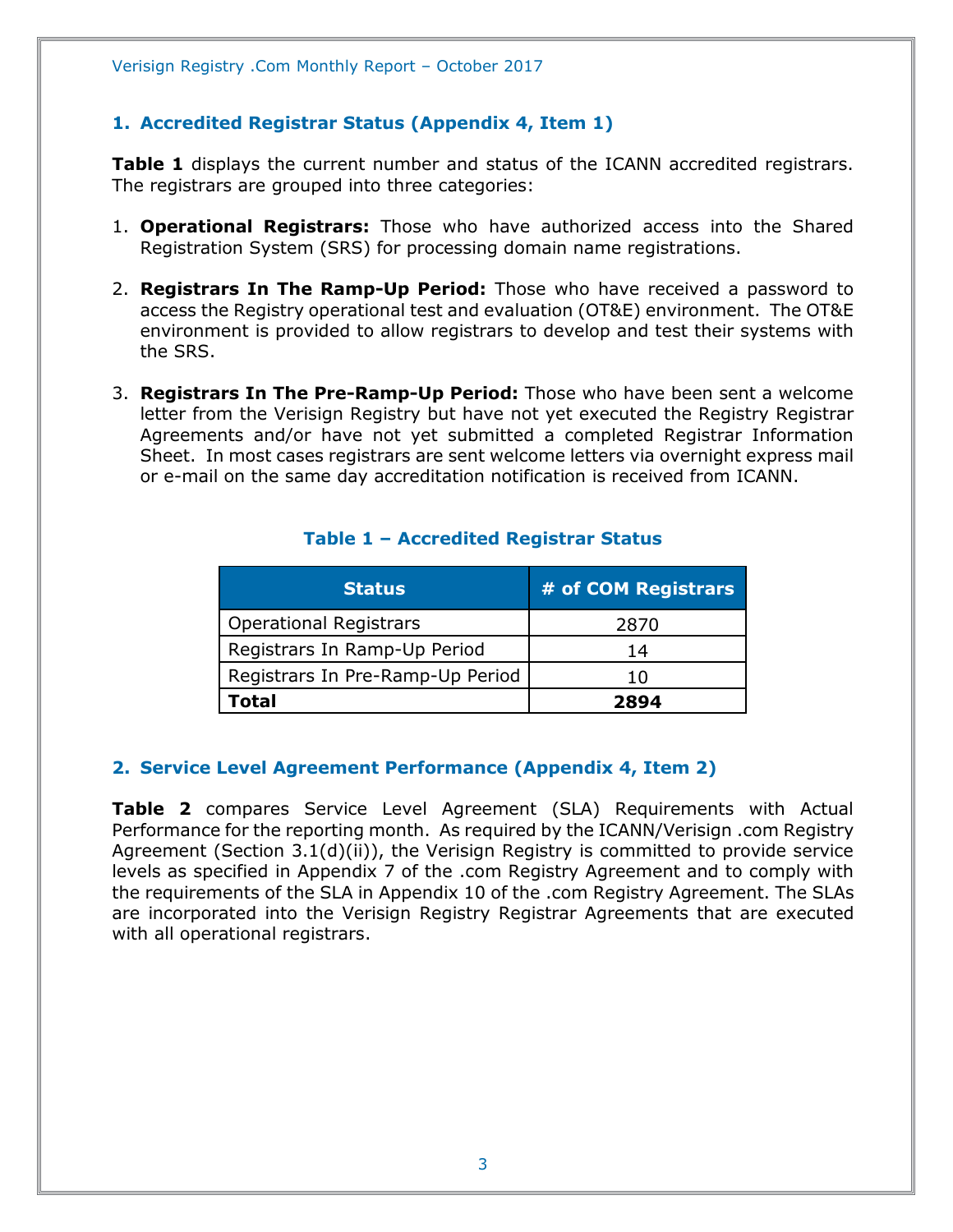# <span id="page-2-0"></span>**1. Accredited Registrar Status (Appendix 4, Item 1)**

**Table 1** displays the current number and status of the ICANN accredited registrars. The registrars are grouped into three categories:

- 1. **Operational Registrars:** Those who have authorized access into the Shared Registration System (SRS) for processing domain name registrations.
- 2. **Registrars In The Ramp-Up Period:** Those who have received a password to access the Registry operational test and evaluation (OT&E) environment. The OT&E environment is provided to allow registrars to develop and test their systems with the SRS.
- 3. **Registrars In The Pre-Ramp-Up Period:** Those who have been sent a welcome letter from the Verisign Registry but have not yet executed the Registry Registrar Agreements and/or have not yet submitted a completed Registrar Information Sheet. In most cases registrars are sent welcome letters via overnight express mail or e-mail on the same day accreditation notification is received from ICANN.

<span id="page-2-1"></span>

| <b>Status</b>                    | # of COM Registrars |
|----------------------------------|---------------------|
| <b>Operational Registrars</b>    | 2870                |
| Registrars In Ramp-Up Period     | 14                  |
| Registrars In Pre-Ramp-Up Period | 1 ( )               |
| Total                            | 2894                |

#### **Table 1 – Accredited Registrar Status**

#### <span id="page-2-2"></span>**2. Service Level Agreement Performance (Appendix 4, Item 2)**

**Table 2** compares Service Level Agreement (SLA) Requirements with Actual Performance for the reporting month. As required by the ICANN/Verisign .com Registry Agreement (Section 3.1(d)(ii)), the Verisign Registry is committed to provide service levels as specified in Appendix 7 of the .com Registry Agreement and to comply with the requirements of the SLA in Appendix 10 of the .com Registry Agreement. The SLAs are incorporated into the Verisign Registry Registrar Agreements that are executed with all operational registrars.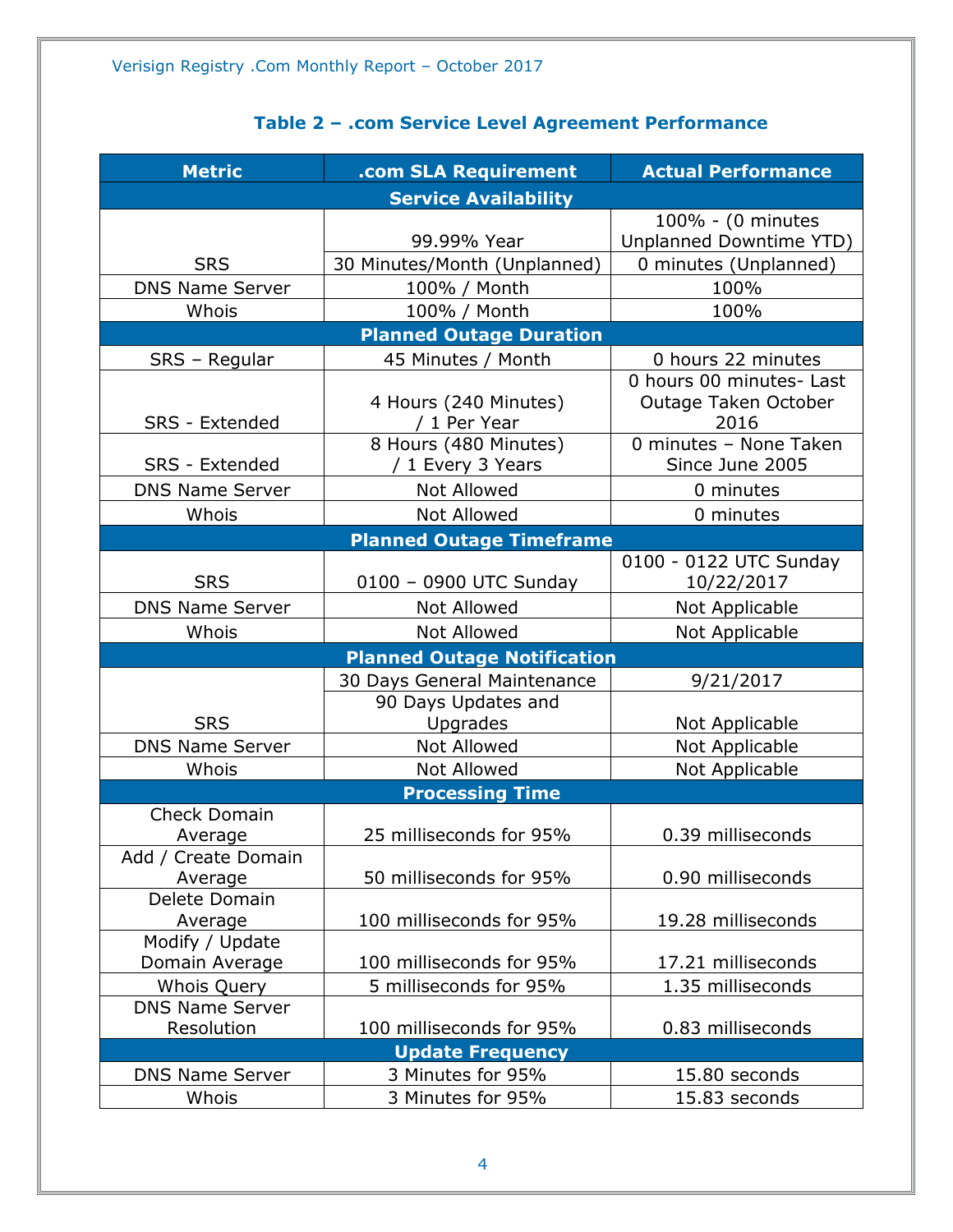<span id="page-3-0"></span>

| <b>Metric</b>                  | .com SLA Requirement                         | <b>Actual Performance</b>                                |
|--------------------------------|----------------------------------------------|----------------------------------------------------------|
|                                | <b>Service Availability</b>                  |                                                          |
|                                | 99.99% Year                                  | 100% - (0 minutes<br>Unplanned Downtime YTD)             |
| <b>SRS</b>                     | 30 Minutes/Month (Unplanned)                 | 0 minutes (Unplanned)                                    |
| <b>DNS Name Server</b>         | 100% / Month                                 | 100%                                                     |
| Whois                          | 100% / Month                                 | 100%                                                     |
|                                | <b>Planned Outage Duration</b>               |                                                          |
| SRS - Regular                  | 45 Minutes / Month                           | 0 hours 22 minutes                                       |
| <b>SRS</b> - Extended          | 4 Hours (240 Minutes)<br>/ 1 Per Year        | 0 hours 00 minutes- Last<br>Outage Taken October<br>2016 |
| SRS - Extended                 | 8 Hours (480 Minutes)<br>/ 1 Every 3 Years   | 0 minutes - None Taken<br>Since June 2005                |
| <b>DNS Name Server</b>         | <b>Not Allowed</b>                           | 0 minutes                                                |
| Whois                          | <b>Not Allowed</b>                           | 0 minutes                                                |
|                                | <b>Planned Outage Timeframe</b>              |                                                          |
| <b>SRS</b>                     | 0100 - 0900 UTC Sunday                       | 0100 - 0122 UTC Sunday<br>10/22/2017                     |
| <b>DNS Name Server</b>         | <b>Not Allowed</b>                           | Not Applicable                                           |
| Whois                          | Not Allowed                                  | Not Applicable                                           |
|                                | <b>Planned Outage Notification</b>           |                                                          |
|                                | 30 Days General Maintenance                  | 9/21/2017                                                |
| <b>SRS</b>                     | 90 Days Updates and<br>Upgrades              |                                                          |
| <b>DNS Name Server</b>         | <b>Not Allowed</b>                           | Not Applicable<br>Not Applicable                         |
| Whois                          | <b>Not Allowed</b>                           | Not Applicable                                           |
|                                | <b>Processing Time</b>                       |                                                          |
| <b>Check Domain</b>            |                                              |                                                          |
| Average                        | 25 milliseconds for 95%                      | 0.39 milliseconds                                        |
| Add / Create Domain<br>Average | 50 milliseconds for 95%                      | 0.90 milliseconds                                        |
| Delete Domain<br>Average       | 100 milliseconds for 95%                     | 19.28 milliseconds                                       |
| Modify / Update                |                                              |                                                          |
| Domain Average                 | 100 milliseconds for 95%                     | 17.21 milliseconds                                       |
| Whois Query                    | 5 milliseconds for 95%                       | 1.35 milliseconds                                        |
| <b>DNS Name Server</b>         |                                              |                                                          |
| Resolution                     | 100 milliseconds for 95%                     | 0.83 milliseconds                                        |
| <b>DNS Name Server</b>         | <b>Update Frequency</b><br>3 Minutes for 95% | 15.80 seconds                                            |
| Whois                          | 3 Minutes for 95%                            | 15.83 seconds                                            |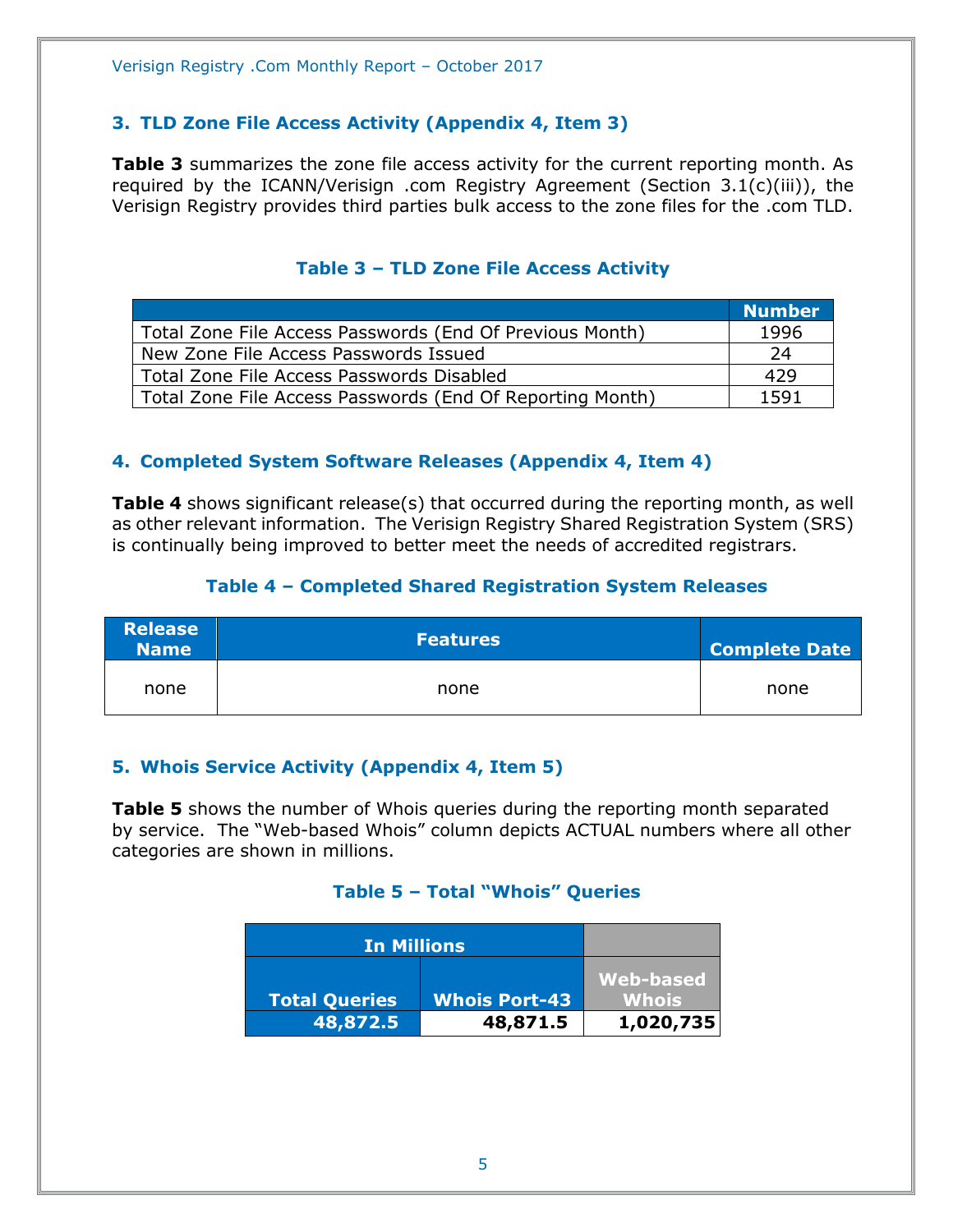# <span id="page-4-0"></span>**3. TLD Zone File Access Activity (Appendix 4, Item 3)**

**Table 3** summarizes the zone file access activity for the current reporting month. As required by the ICANN/Verisign .com Registry Agreement (Section 3.1(c)(iii)), the Verisign Registry provides third parties bulk access to the zone files for the .com TLD.

<span id="page-4-1"></span>

|                                                           | <b>Number</b> |
|-----------------------------------------------------------|---------------|
| Total Zone File Access Passwords (End Of Previous Month)  | 1996          |
| New Zone File Access Passwords Issued                     | 24            |
| Total Zone File Access Passwords Disabled                 | 429           |
| Total Zone File Access Passwords (End Of Reporting Month) | 1591          |

## **Table 3 – TLD Zone File Access Activity**

#### <span id="page-4-2"></span>**4. Completed System Software Releases (Appendix 4, Item 4)**

**Table 4** shows significant release(s) that occurred during the reporting month, as well as other relevant information. The Verisign Registry Shared Registration System (SRS) is continually being improved to better meet the needs of accredited registrars.

#### **Table 4 – Completed Shared Registration System Releases**

<span id="page-4-3"></span>

| <b>Release</b><br><b>Name</b> | <b>Features</b> | <b>Complete Date</b> |
|-------------------------------|-----------------|----------------------|
| none                          | none            | none                 |

#### <span id="page-4-4"></span>**5. Whois Service Activity (Appendix 4, Item 5)**

<span id="page-4-5"></span>**Table 5** shows the number of Whois queries during the reporting month separated by service. The "Web-based Whois" column depicts ACTUAL numbers where all other categories are shown in millions.

#### **Table 5 – Total "Whois" Queries**

| <b>In Millions</b>   |                      |              |
|----------------------|----------------------|--------------|
|                      |                      | Web-based    |
| <b>Total Queries</b> | <b>Whois Port-43</b> | <b>Whois</b> |
| 48,872.5             | 48,871.5             | 1,020,735    |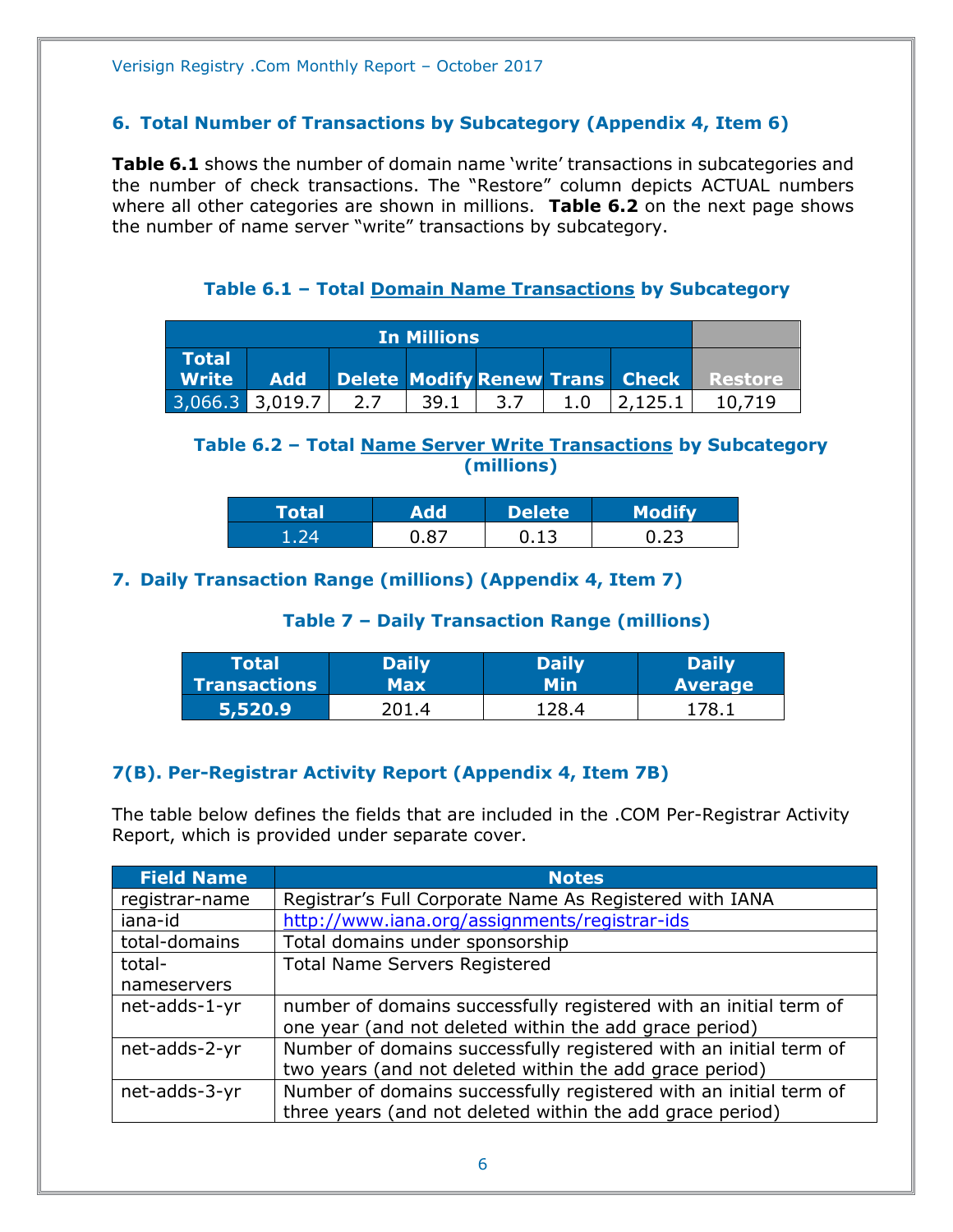### <span id="page-5-0"></span>**6. Total Number of Transactions by Subcategory (Appendix 4, Item 6)**

**Table 6.1** shows the number of domain name 'write' transactions in subcategories and the number of check transactions. The "Restore" column depicts ACTUAL numbers where all other categories are shown in millions. **Table 6.2** on the next page shows the number of name server "write" transactions by subcategory.

**Table 6.1 – Total Domain Name Transactions by Subcategory**

<span id="page-5-1"></span>

| <b>In Millions</b>           |     |     |      |     |  |                                 |                |
|------------------------------|-----|-----|------|-----|--|---------------------------------|----------------|
| <b>Total</b><br><b>Write</b> | Add |     |      |     |  | Delete Modify Renew Trans Check | <b>Restore</b> |
| $3,066.3$ 3,019.7            |     | 2.7 | 39.1 | 3.7 |  |                                 |                |

# <span id="page-5-2"></span>**Table 6.2 – Total Name Server Write Transactions by Subcategory (millions)**

| <b>Total</b> |    | Delete | <b>Modify</b> |
|--------------|----|--------|---------------|
|              | ാ− |        |               |

# <span id="page-5-4"></span><span id="page-5-3"></span>**7. Daily Transaction Range (millions) (Appendix 4, Item 7)**

# **Table 7 – Daily Transaction Range (millions)**

| Total        | <b>Daily</b> | Daily | <b>Daily</b>   |
|--------------|--------------|-------|----------------|
| Transactions | Max          | Min   | <b>Average</b> |
| 5,520.9      | 7በ1 4        | 78.4  | 178            |

# <span id="page-5-5"></span>**7(B). Per-Registrar Activity Report (Appendix 4, Item 7B)**

The table below defines the fields that are included in the .COM Per-Registrar Activity Report, which is provided under separate cover.

| <b>Field Name</b> | <b>Notes</b>                                                      |
|-------------------|-------------------------------------------------------------------|
| registrar-name    | Registrar's Full Corporate Name As Registered with IANA           |
| iana-id           | http://www.iana.org/assignments/registrar-ids                     |
| total-domains     | Total domains under sponsorship                                   |
| total-            | <b>Total Name Servers Registered</b>                              |
| nameservers       |                                                                   |
| net-adds-1-yr     | number of domains successfully registered with an initial term of |
|                   | one year (and not deleted within the add grace period)            |
| net-adds-2-yr     | Number of domains successfully registered with an initial term of |
|                   | two years (and not deleted within the add grace period)           |
| net-adds-3-yr     | Number of domains successfully registered with an initial term of |
|                   | three years (and not deleted within the add grace period)         |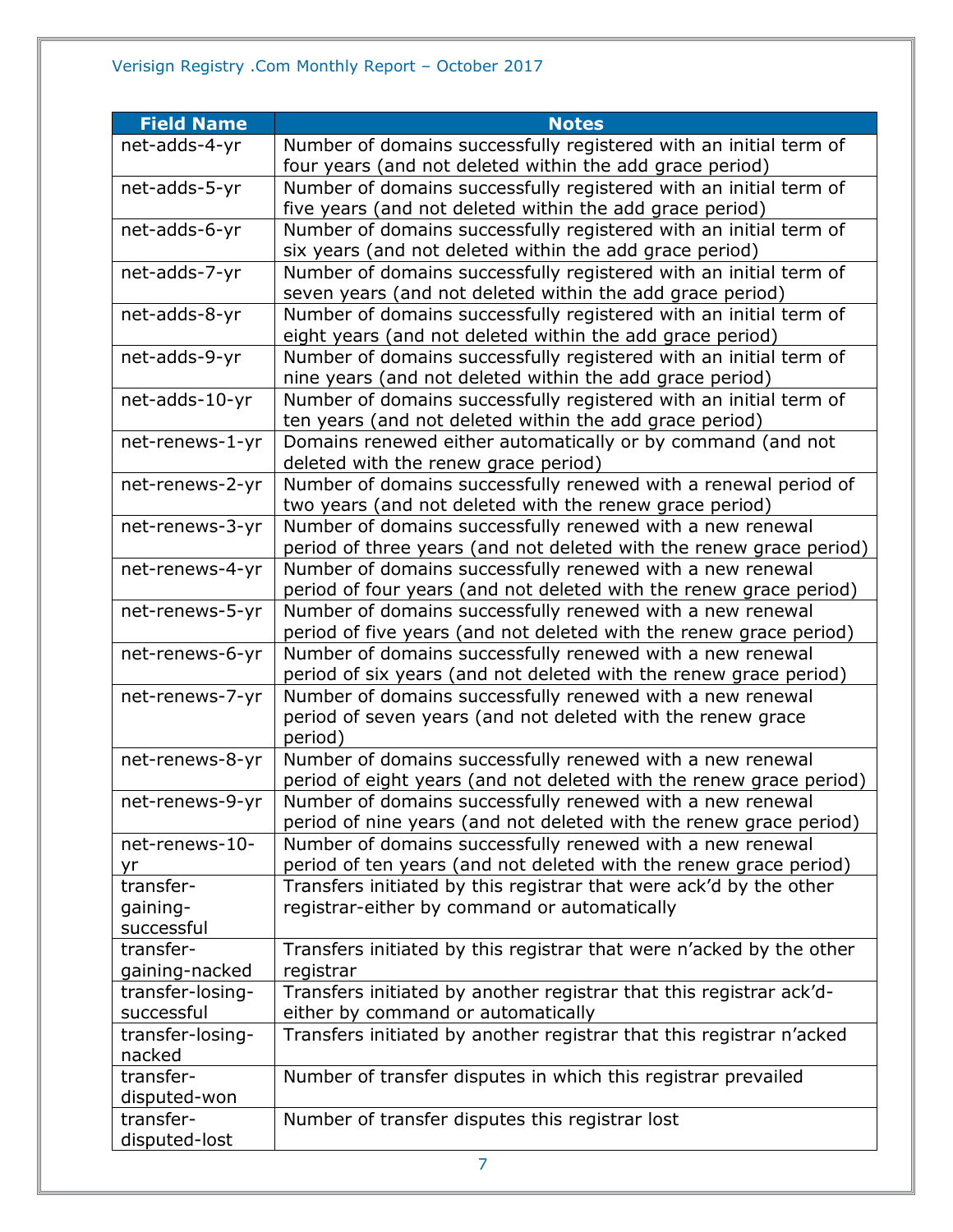| <b>Field Name</b>              | <b>Notes</b>                                                                                                                     |
|--------------------------------|----------------------------------------------------------------------------------------------------------------------------------|
| net-adds-4-yr                  | Number of domains successfully registered with an initial term of                                                                |
|                                | four years (and not deleted within the add grace period)                                                                         |
| net-adds-5-yr                  | Number of domains successfully registered with an initial term of                                                                |
|                                | five years (and not deleted within the add grace period)                                                                         |
| net-adds-6-yr                  | Number of domains successfully registered with an initial term of                                                                |
|                                | six years (and not deleted within the add grace period)                                                                          |
| net-adds-7-yr                  | Number of domains successfully registered with an initial term of<br>seven years (and not deleted within the add grace period)   |
| net-adds-8-yr                  | Number of domains successfully registered with an initial term of                                                                |
|                                | eight years (and not deleted within the add grace period)                                                                        |
| net-adds-9-yr                  | Number of domains successfully registered with an initial term of                                                                |
|                                | nine years (and not deleted within the add grace period)                                                                         |
| net-adds-10-yr                 | Number of domains successfully registered with an initial term of                                                                |
|                                | ten years (and not deleted within the add grace period)                                                                          |
| net-renews-1-yr                | Domains renewed either automatically or by command (and not                                                                      |
|                                | deleted with the renew grace period)                                                                                             |
| net-renews-2-yr                | Number of domains successfully renewed with a renewal period of                                                                  |
|                                | two years (and not deleted with the renew grace period)                                                                          |
| net-renews-3-yr                | Number of domains successfully renewed with a new renewal                                                                        |
| net-renews-4-yr                | period of three years (and not deleted with the renew grace period)<br>Number of domains successfully renewed with a new renewal |
|                                | period of four years (and not deleted with the renew grace period)                                                               |
| net-renews-5-yr                | Number of domains successfully renewed with a new renewal                                                                        |
|                                | period of five years (and not deleted with the renew grace period)                                                               |
| net-renews-6-yr                | Number of domains successfully renewed with a new renewal                                                                        |
|                                | period of six years (and not deleted with the renew grace period)                                                                |
| net-renews-7-yr                | Number of domains successfully renewed with a new renewal                                                                        |
|                                | period of seven years (and not deleted with the renew grace                                                                      |
|                                | period)                                                                                                                          |
| net-renews-8-yr                | Number of domains successfully renewed with a new renewal<br>period of eight years (and not deleted with the renew grace period) |
| net-renews-9-yr                | Number of domains successfully renewed with a new renewal                                                                        |
|                                | period of nine years (and not deleted with the renew grace period)                                                               |
| net-renews-10-                 | Number of domains successfully renewed with a new renewal                                                                        |
| yr                             | period of ten years (and not deleted with the renew grace period)                                                                |
| transfer-                      | Transfers initiated by this registrar that were ack'd by the other                                                               |
| gaining-                       | registrar-either by command or automatically                                                                                     |
| successful                     |                                                                                                                                  |
| transfer-                      | Transfers initiated by this registrar that were n'acked by the other                                                             |
| gaining-nacked                 | registrar                                                                                                                        |
| transfer-losing-               | Transfers initiated by another registrar that this registrar ack'd-                                                              |
| successful<br>transfer-losing- | either by command or automatically<br>Transfers initiated by another registrar that this registrar n'acked                       |
| nacked                         |                                                                                                                                  |
| transfer-                      | Number of transfer disputes in which this registrar prevailed                                                                    |
| disputed-won                   |                                                                                                                                  |
| transfer-                      | Number of transfer disputes this registrar lost                                                                                  |
| disputed-lost                  |                                                                                                                                  |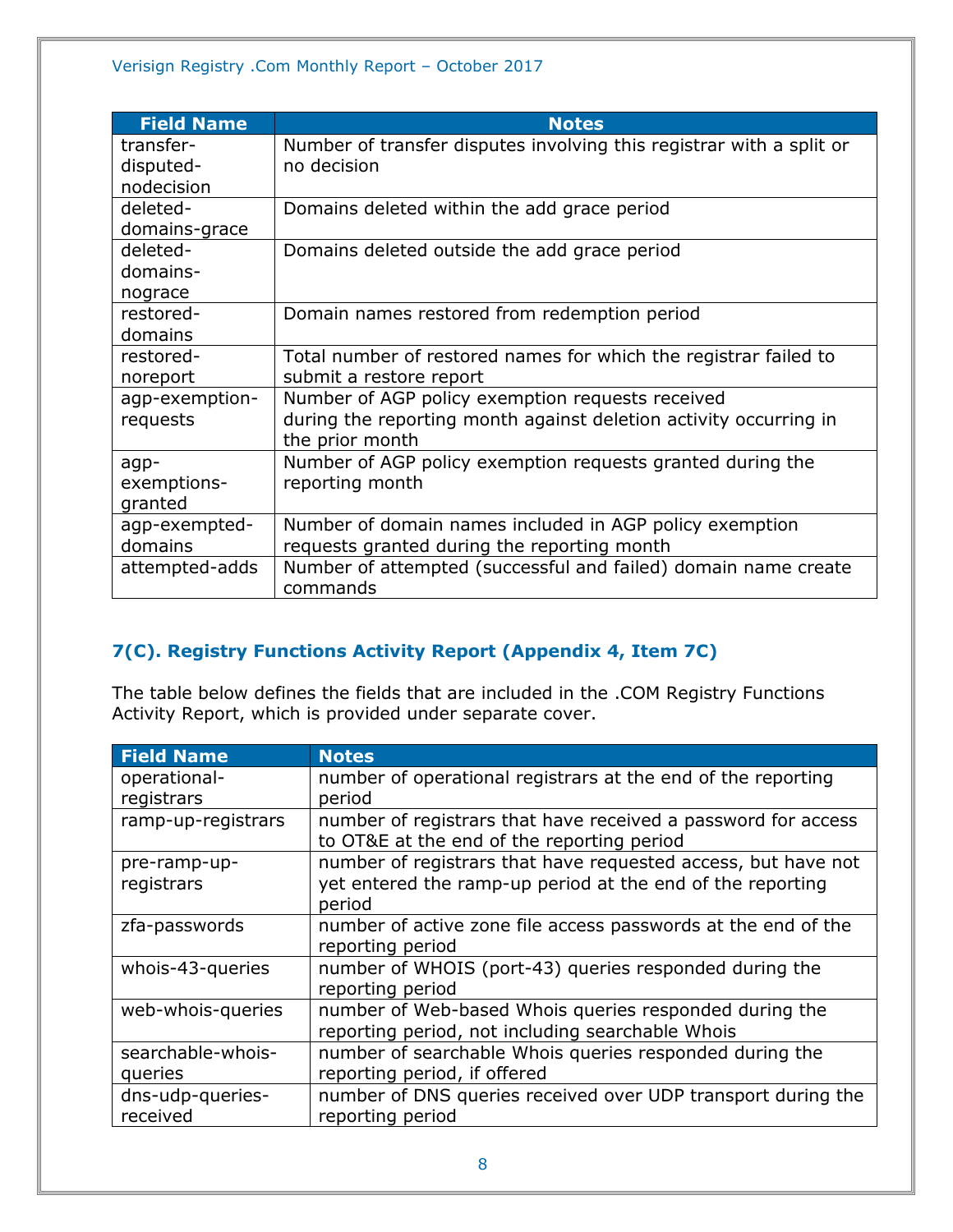| <b>Field Name</b> | <b>Notes</b>                                                         |
|-------------------|----------------------------------------------------------------------|
| transfer-         | Number of transfer disputes involving this registrar with a split or |
| disputed-         | no decision                                                          |
| nodecision        |                                                                      |
| deleted-          | Domains deleted within the add grace period                          |
| domains-grace     |                                                                      |
| deleted-          | Domains deleted outside the add grace period                         |
| domains-          |                                                                      |
| nograce           |                                                                      |
| restored-         | Domain names restored from redemption period                         |
| domains           |                                                                      |
| restored-         | Total number of restored names for which the registrar failed to     |
| noreport          | submit a restore report                                              |
| agp-exemption-    | Number of AGP policy exemption requests received                     |
| requests          | during the reporting month against deletion activity occurring in    |
|                   | the prior month                                                      |
| agp-              | Number of AGP policy exemption requests granted during the           |
| exemptions-       | reporting month                                                      |
| granted           |                                                                      |
| agp-exempted-     | Number of domain names included in AGP policy exemption              |
| domains           | requests granted during the reporting month                          |
| attempted-adds    | Number of attempted (successful and failed) domain name create       |
|                   | commands                                                             |

# <span id="page-7-0"></span>**7(C). Registry Functions Activity Report (Appendix 4, Item 7C)**

The table below defines the fields that are included in the .COM Registry Functions Activity Report, which is provided under separate cover.

| <b>Field Name</b>  | <b>Notes</b>                                                                                                |
|--------------------|-------------------------------------------------------------------------------------------------------------|
| operational-       | number of operational registrars at the end of the reporting                                                |
| registrars         | period                                                                                                      |
| ramp-up-registrars | number of registrars that have received a password for access<br>to OT&E at the end of the reporting period |
| pre-ramp-up-       | number of registrars that have requested access, but have not                                               |
| registrars         | yet entered the ramp-up period at the end of the reporting                                                  |
|                    | period                                                                                                      |
| zfa-passwords      | number of active zone file access passwords at the end of the                                               |
|                    | reporting period                                                                                            |
| whois-43-queries   | number of WHOIS (port-43) queries responded during the                                                      |
|                    | reporting period                                                                                            |
| web-whois-queries  | number of Web-based Whois queries responded during the                                                      |
|                    | reporting period, not including searchable Whois                                                            |
| searchable-whois-  | number of searchable Whois queries responded during the                                                     |
| queries            | reporting period, if offered                                                                                |
| dns-udp-queries-   | number of DNS queries received over UDP transport during the                                                |
| received           | reporting period                                                                                            |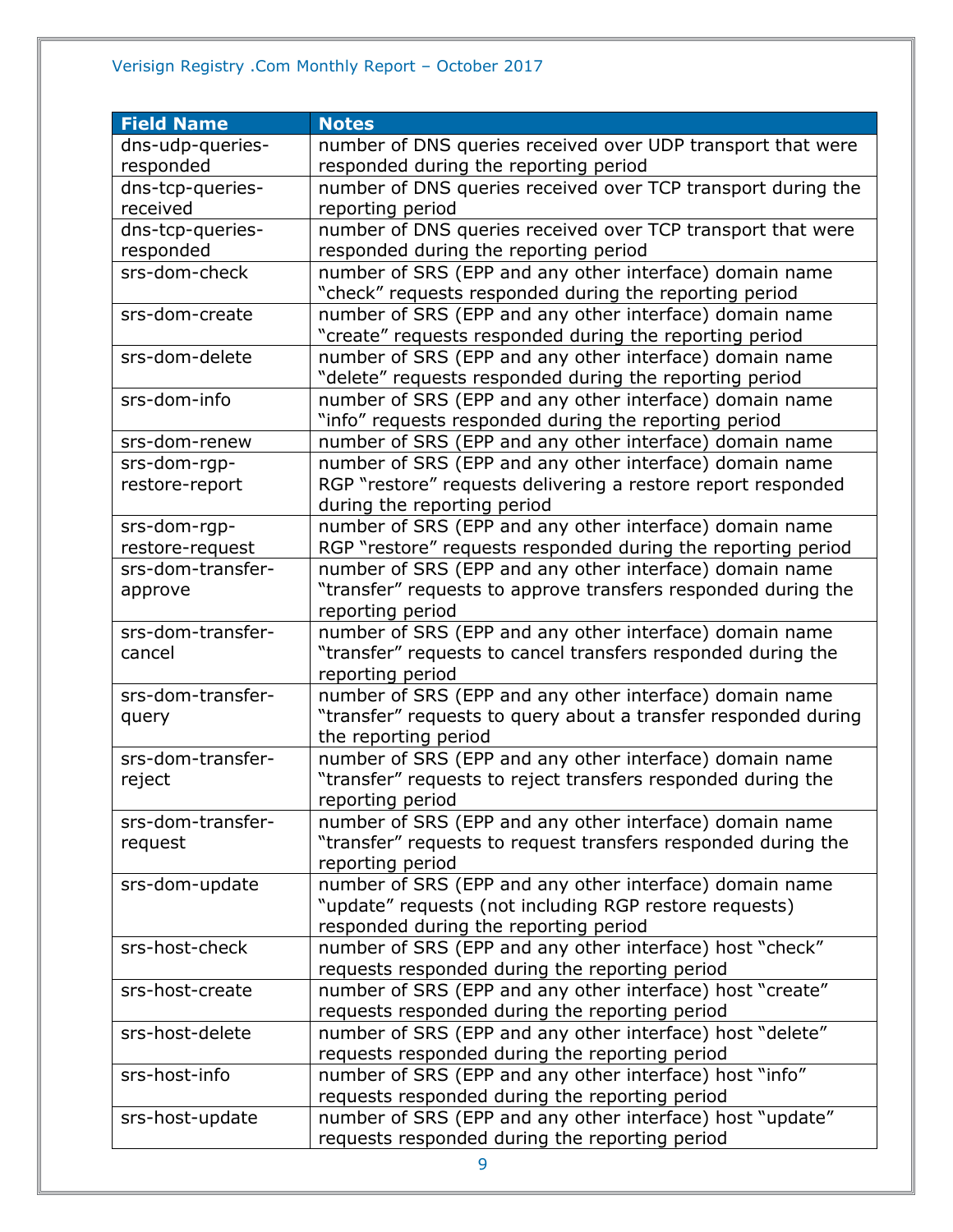# Verisign Registry .Com Monthly Report – October 2017

| <b>Field Name</b> | <b>Notes</b>                                                                                                              |
|-------------------|---------------------------------------------------------------------------------------------------------------------------|
| dns-udp-queries-  | number of DNS queries received over UDP transport that were                                                               |
| responded         | responded during the reporting period                                                                                     |
| dns-tcp-queries-  | number of DNS queries received over TCP transport during the                                                              |
| received          | reporting period                                                                                                          |
| dns-tcp-queries-  | number of DNS queries received over TCP transport that were                                                               |
| responded         | responded during the reporting period                                                                                     |
| srs-dom-check     | number of SRS (EPP and any other interface) domain name                                                                   |
|                   | "check" requests responded during the reporting period                                                                    |
| srs-dom-create    | number of SRS (EPP and any other interface) domain name                                                                   |
|                   | "create" requests responded during the reporting period                                                                   |
| srs-dom-delete    | number of SRS (EPP and any other interface) domain name                                                                   |
|                   | "delete" requests responded during the reporting period                                                                   |
| srs-dom-info      | number of SRS (EPP and any other interface) domain name                                                                   |
|                   | "info" requests responded during the reporting period                                                                     |
| srs-dom-renew     | number of SRS (EPP and any other interface) domain name                                                                   |
| srs-dom-rgp-      | number of SRS (EPP and any other interface) domain name                                                                   |
| restore-report    | RGP "restore" requests delivering a restore report responded                                                              |
|                   | during the reporting period                                                                                               |
| srs-dom-rgp-      | number of SRS (EPP and any other interface) domain name                                                                   |
| restore-request   | RGP "restore" requests responded during the reporting period                                                              |
| srs-dom-transfer- | number of SRS (EPP and any other interface) domain name                                                                   |
| approve           | "transfer" requests to approve transfers responded during the                                                             |
|                   | reporting period                                                                                                          |
| srs-dom-transfer- | number of SRS (EPP and any other interface) domain name                                                                   |
| cancel            | "transfer" requests to cancel transfers responded during the                                                              |
| srs-dom-transfer- | reporting period                                                                                                          |
|                   | number of SRS (EPP and any other interface) domain name<br>"transfer" requests to query about a transfer responded during |
| query             | the reporting period                                                                                                      |
| srs-dom-transfer- | number of SRS (EPP and any other interface) domain name                                                                   |
| reject            | "transfer" requests to reject transfers responded during the                                                              |
|                   | reporting period                                                                                                          |
| srs-dom-transfer- | number of SRS (EPP and any other interface) domain name                                                                   |
| request           | "transfer" requests to request transfers responded during the                                                             |
|                   | reporting period                                                                                                          |
| srs-dom-update    | number of SRS (EPP and any other interface) domain name                                                                   |
|                   | "update" requests (not including RGP restore requests)                                                                    |
|                   | responded during the reporting period                                                                                     |
| srs-host-check    | number of SRS (EPP and any other interface) host "check"                                                                  |
|                   | requests responded during the reporting period                                                                            |
| srs-host-create   | number of SRS (EPP and any other interface) host "create"                                                                 |
|                   | requests responded during the reporting period                                                                            |
| srs-host-delete   | number of SRS (EPP and any other interface) host "delete"                                                                 |
|                   | requests responded during the reporting period                                                                            |
| srs-host-info     | number of SRS (EPP and any other interface) host "info"                                                                   |
|                   | requests responded during the reporting period                                                                            |
| srs-host-update   | number of SRS (EPP and any other interface) host "update"                                                                 |
|                   | requests responded during the reporting period                                                                            |